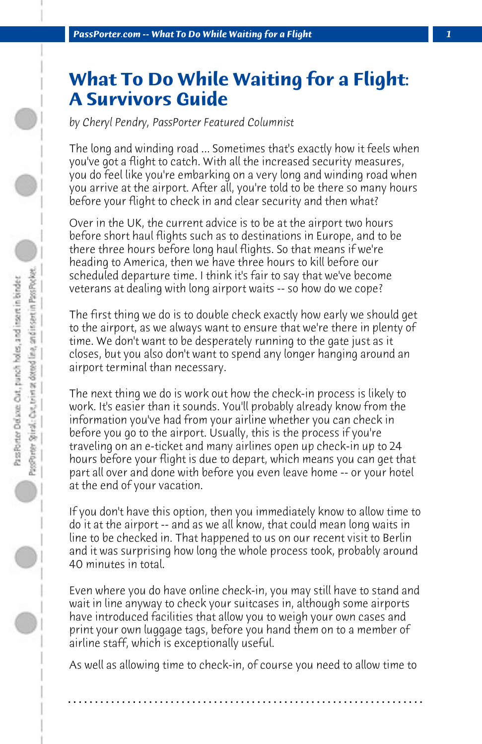## **What To Do While Waiting for a Flight: A Survivors Guide**

*by Cheryl Pendry, PassPorter Featured Columnist*

The long and winding road ... Sometimes that's exactly how it feels when you've got a flight to catch. With all the increased security measures, you do feel like you're embarking on a very long and winding road when you arrive at the airport. After all, you're told to be there so many hours before your flight to check in and clear security and then what?

Over in the UK, the current advice is to be at the airport two hours before short haul flights such as to destinations in Europe, and to be there three hours before long haul flights. So that means if we're heading to America, then we have three hours to kill before our scheduled departure time. I think it's fair to say that we've become veterans at dealing with long airport waits -- so how do we cope?

The first thing we do is to double check exactly how early we should get to the airport, as we always want to ensure that we're there in plenty of time. We don't want to be desperately running to the gate just as it closes, but you also don't want to spend any longer hanging around an airport terminal than necessary.

The next thing we do is work out how the check-in process is likely to work. It's easier than it sounds. You'll probably already know from the information you've had from your airline whether you can check in before you go to the airport. Usually, this is the process if you're traveling on an e-ticket and many airlines open up check-in up to 24 hours before your flight is due to depart, which means you can get that part all over and done with before you even leave home -- or your hotel at the end of your vacation.

If you don't have this option, then you immediately know to allow time to do it at the airport -- and as we all know, that could mean long waits in line to be checked in. That happened to us on our recent visit to Berlin and it was surprising how long the whole process took, probably around 40 minutes in total.

Even where you do have online check-in, you may still have to stand and wait in line anyway to check your suitcases in, although some airports have introduced facilities that allow you to weigh your own cases and print your own luggage tags, before you hand them on to a member of airline staff, which is exceptionally useful.

As well as allowing time to check-in, of course you need to allow time to

**. . . . . . . . . . . . . . . . . . . . . . . . . . . . . . . . . . . . . . . . . . . . . . . . . . . . . . . . . . . . . . . . . .**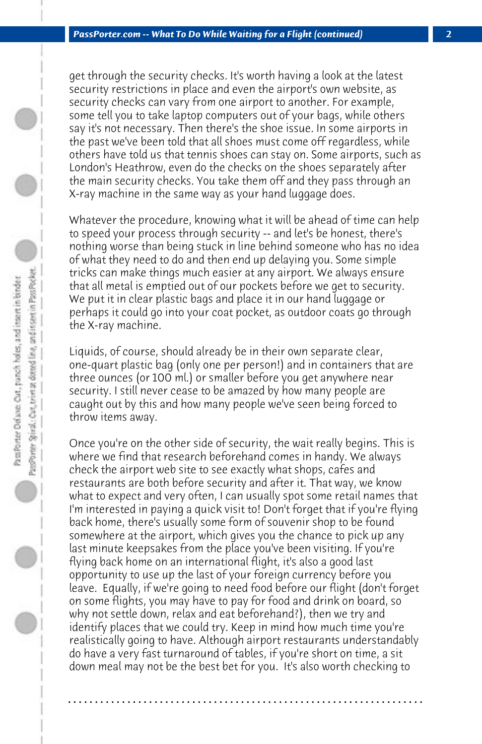get through the security checks. It's worth having a look at the latest security restrictions in place and even the airport's own website, as security checks can vary from one airport to another. For example, some tell you to take laptop computers out of your bags, while others say it's not necessary. Then there's the shoe issue. In some airports in the past we've been told that all shoes must come off regardless, while others have told us that tennis shoes can stay on. Some airports, such as London's Heathrow, even do the checks on the shoes separately after the main security checks. You take them off and they pass through an X-ray machine in the same way as your hand luggage does.

Whatever the procedure, knowing what it will be ahead of time can help to speed your process through security -- and let's be honest, there's nothing worse than being stuck in line behind someone who has no idea of what they need to do and then end up delaying you. Some simple tricks can make things much easier at any airport. We always ensure that all metal is emptied out of our pockets before we get to security. We put it in clear plastic bags and place it in our hand luggage or perhaps it could go into your coat pocket, as outdoor coats go through the X-ray machine.

Liquids, of course, should already be in their own separate clear, one-quart plastic bag (only one per person!) and in containers that are three ounces (or 100 ml.) or smaller before you get anywhere near security. I still never cease to be amazed by how many people are caught out by this and how many people we've seen being forced to throw items away.

Once you're on the other side of security, the wait really begins. This is where we find that research beforehand comes in handy. We always check the airport web site to see exactly what shops, cafes and restaurants are both before security and after it. That way, we know what to expect and very often, I can usually spot some retail names that I'm interested in paying a quick visit to! Don't forget that if you're flying back home, there's usually some form of souvenir shop to be found somewhere at the airport, which gives you the chance to pick up any last minute keepsakes from the place you've been visiting. If you're flying back home on an international flight, it's also a good last opportunity to use up the last of your foreign currency before you leave. Equally, if we're going to need food before our flight (don't forget on some flights, you may have to pay for food and drink on board, so why not settle down, relax and eat beforehand?), then we try and identify places that we could try. Keep in mind how much time you're realistically going to have. Although airport restaurants understandably do have a very fast turnaround of tables, if you're short on time, a sit down meal may not be the best bet for you. It's also worth checking to

**. . . . . . . . . . . . . . . . . . . . . . . . . . . . . . . . . . . . . . . . . . . . . . . . . . . . . . . . . . . . . . . . . .**